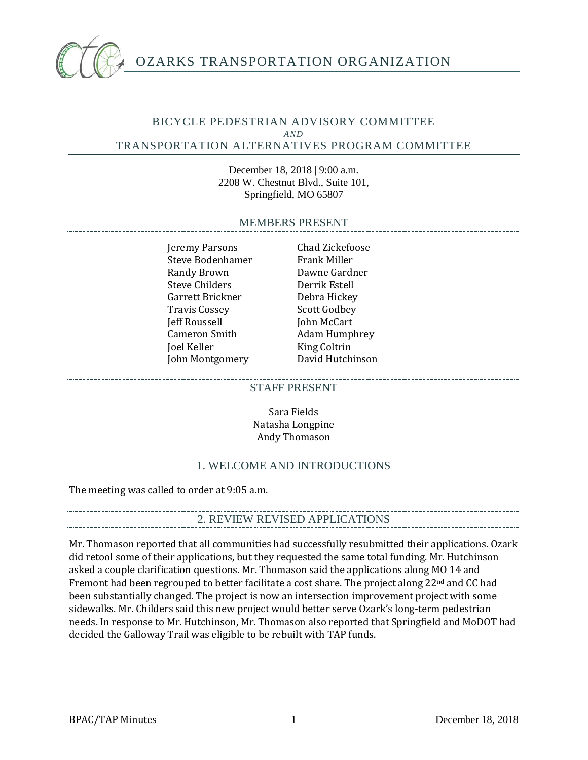

## BICYCLE PEDESTRIAN ADVISORY COMMITTEE *AND* TRANSPORTATION ALTERNATIVES PROGRAM COMMITTEE

December 18, 2018 | 9:00 a.m. 2208 W. Chestnut Blvd., Suite 101, Springfield, MO 65807

#### MEMBERS PRESENT

Jeremy Parsons Chad Zickefoose<br>Steve Bodenhamer Frank Miller Steve Bodenhamer Frank Miller<br>Randy Brown Bawne Gardner Randy Brown Dawne Gardr<br>Steve Childers Derrik Estell Steve Childers<br>
Garrett Brickner<br>
Oebra Hickev Garrett Brickner Debra Hickey Travis Cossey Scott Godbey Jeff Roussell<br>Cameron Smith Cameron Smith Adam Humphrey<br>
Ioel Keller King Coltrin John Montgomery

King Coltrin<br>David Hutchinson

#### STAFF PRESENT

Sara Fields Natasha Longpine Andy Thomason

# 1. WELCOME AND INTRODUCTIONS

The meeting was called to order at 9:05 a.m.

## 2. REVIEW REVISED APPLICATIONS

Mr. Thomason reported that all communities had successfully resubmitted their applications. Ozark did retool some of their applications, but they requested the same total funding. Mr. Hutchinson asked a couple clarification questions. Mr. Thomason said the applications along MO 14 and Fremont had been regrouped to better facilitate a cost share. The project along  $22<sup>nd</sup>$  and CC had been substantially changed. The project is now an intersection improvement project with some sidewalks. Mr. Childers said this new project would better serve Ozark's long-term pedestrian needs. In response to Mr. Hutchinson, Mr. Thomason also reported that Springfield and MoDOT had decided the Galloway Trail was eligible to be rebuilt with TAP funds.